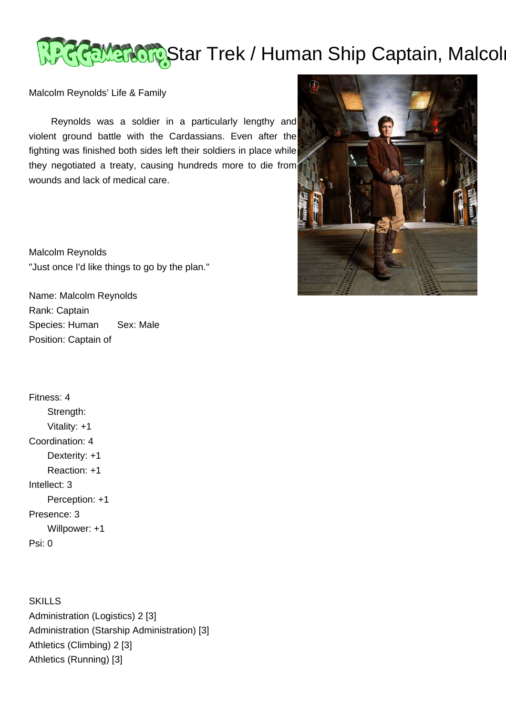## Rewardig Star Trek / Human Ship Captain, Malcol

Malcolm Reynolds' Life & Family

 Reynolds was a soldier in a particularly lengthy and violent ground battle with the Cardassians. Even after the fighting was finished both sides left their soldiers in place while they negotiated a treaty, causing hundreds more to die from wounds and lack of medical care.

Malcolm Reynolds "Just once I'd like things to go by the plan."

Name: Malcolm Reynolds Rank: Captain Species: Human Sex: Male Position: Captain of

Fitness: 4 Strength: Vitality: +1 Coordination: 4 Dexterity: +1 Reaction: +1 Intellect: 3 Perception: +1 Presence: 3 Willpower: +1 Psi: 0

**SKILLS** Administration (Logistics) 2 [3] Administration (Starship Administration) [3] Athletics (Climbing) 2 [3] Athletics (Running) [3]

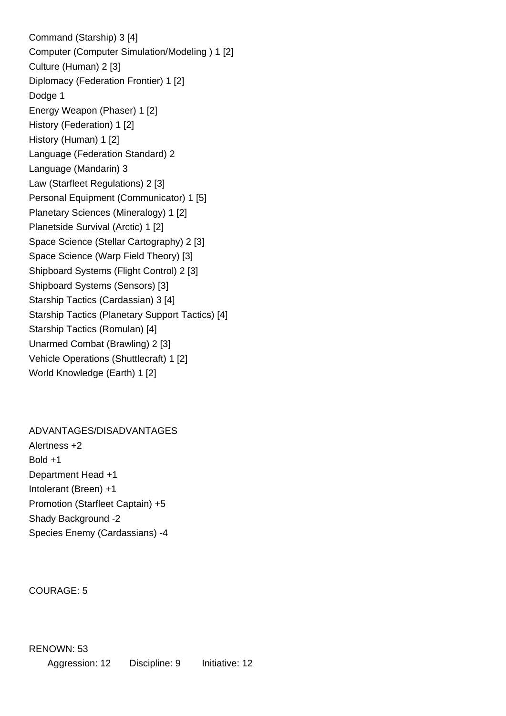Command (Starship) 3 [4] Computer (Computer Simulation/Modeling ) 1 [2] Culture (Human) 2 [3] Diplomacy (Federation Frontier) 1 [2] Dodge 1 Energy Weapon (Phaser) 1 [2] History (Federation) 1 [2] History (Human) 1 [2] Language (Federation Standard) 2 Language (Mandarin) 3 Law (Starfleet Regulations) 2 [3] Personal Equipment (Communicator) 1 [5] Planetary Sciences (Mineralogy) 1 [2] Planetside Survival (Arctic) 1 [2] Space Science (Stellar Cartography) 2 [3] Space Science (Warp Field Theory) [3] Shipboard Systems (Flight Control) 2 [3] Shipboard Systems (Sensors) [3] Starship Tactics (Cardassian) 3 [4] Starship Tactics (Planetary Support Tactics) [4] Starship Tactics (Romulan) [4] Unarmed Combat (Brawling) 2 [3] Vehicle Operations (Shuttlecraft) 1 [2] World Knowledge (Earth) 1 [2]

ADVANTAGES/DISADVANTAGES Alertness +2 Bold +1 Department Head +1 Intolerant (Breen) +1 Promotion (Starfleet Captain) +5 Shady Background -2 Species Enemy (Cardassians) -4

COURAGE: 5